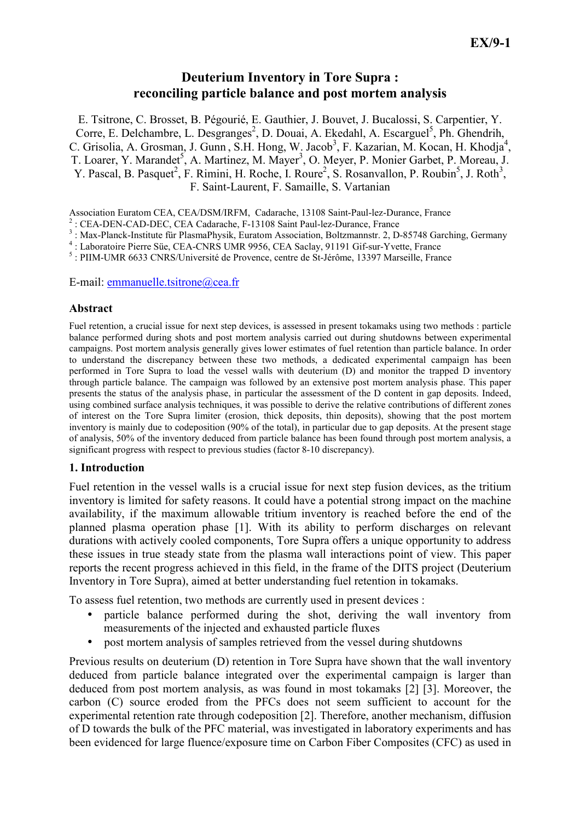# Deuterium Inventory in Tore Supra : reconciling particle balance and post mortem analysis

E. Tsitrone, C. Brosset, B. Pégourié, E. Gauthier, J. Bouvet, J. Bucalossi, S. Carpentier, Y. Corre, E. Delchambre, L. Desgranges<sup>2</sup>, D. Douai, A. Ekedahl, A. Escarguel<sup>5</sup>, Ph. Ghendrih, C. Grisolia, A. Grosman, J. Gunn, S.H. Hong, W. Jacob<sup>3</sup>, F. Kazarian, M. Kocan, H. Khodja<sup>4</sup>, T. Loarer, Y. Marandet<sup>5</sup>, A. Martinez, M. Mayer<sup>3</sup>, O. Meyer, P. Monier Garbet, P. Moreau, J. Y. Pascal, B. Pasquet<sup>2</sup>, F. Rimini, H. Roche, I. Roure<sup>2</sup>, S. Rosanvallon, P. Roubin<sup>5</sup>, J. Roth<sup>3</sup>, F. Saint-Laurent, F. Samaille, S. Vartanian

Association Euratom CEA, CEA/DSM/IRFM, Cadarache, 13108 Saint-Paul-lez-Durance, France

2 : CEA-DEN-CAD-DEC, CEA Cadarache, F-13108 Saint Paul-lez-Durance, France

<sup>3</sup>: Max-Planck-Institute für PlasmaPhysik, Euratom Association, Boltzmannstr. 2, D-85748 Garching, Germany

4 : Laboratoire Pierre Süe, CEA-CNRS UMR 9956, CEA Saclay, 91191 Gif-sur-Yvette, France

<sup>5</sup> : PIIM-UMR 6633 CNRS/Université de Provence, centre de St-Jérôme, 13397 Marseille, France

E-mail: emmanuelle.tsitrone@cea.fr

#### Abstract

Fuel retention, a crucial issue for next step devices, is assessed in present tokamaks using two methods : particle balance performed during shots and post mortem analysis carried out during shutdowns between experimental campaigns. Post mortem analysis generally gives lower estimates of fuel retention than particle balance. In order to understand the discrepancy between these two methods, a dedicated experimental campaign has been performed in Tore Supra to load the vessel walls with deuterium (D) and monitor the trapped D inventory through particle balance. The campaign was followed by an extensive post mortem analysis phase. This paper presents the status of the analysis phase, in particular the assessment of the D content in gap deposits. Indeed, using combined surface analysis techniques, it was possible to derive the relative contributions of different zones of interest on the Tore Supra limiter (erosion, thick deposits, thin deposits), showing that the post mortem inventory is mainly due to codeposition (90% of the total), in particular due to gap deposits. At the present stage of analysis, 50% of the inventory deduced from particle balance has been found through post mortem analysis, a significant progress with respect to previous studies (factor 8-10 discrepancy).

## 1. Introduction

Fuel retention in the vessel walls is a crucial issue for next step fusion devices, as the tritium inventory is limited for safety reasons. It could have a potential strong impact on the machine availability, if the maximum allowable tritium inventory is reached before the end of the planned plasma operation phase [1]. With its ability to perform discharges on relevant durations with actively cooled components, Tore Supra offers a unique opportunity to address these issues in true steady state from the plasma wall interactions point of view. This paper reports the recent progress achieved in this field, in the frame of the DITS project (Deuterium Inventory in Tore Supra), aimed at better understanding fuel retention in tokamaks.

To assess fuel retention, two methods are currently used in present devices :

- particle balance performed during the shot, deriving the wall inventory from measurements of the injected and exhausted particle fluxes
- post mortem analysis of samples retrieved from the vessel during shutdowns

Previous results on deuterium (D) retention in Tore Supra have shown that the wall inventory deduced from particle balance integrated over the experimental campaign is larger than deduced from post mortem analysis, as was found in most tokamaks [2] [3]. Moreover, the carbon (C) source eroded from the PFCs does not seem sufficient to account for the experimental retention rate through codeposition [2]. Therefore, another mechanism, diffusion of D towards the bulk of the PFC material, was investigated in laboratory experiments and has been evidenced for large fluence/exposure time on Carbon Fiber Composites (CFC) as used in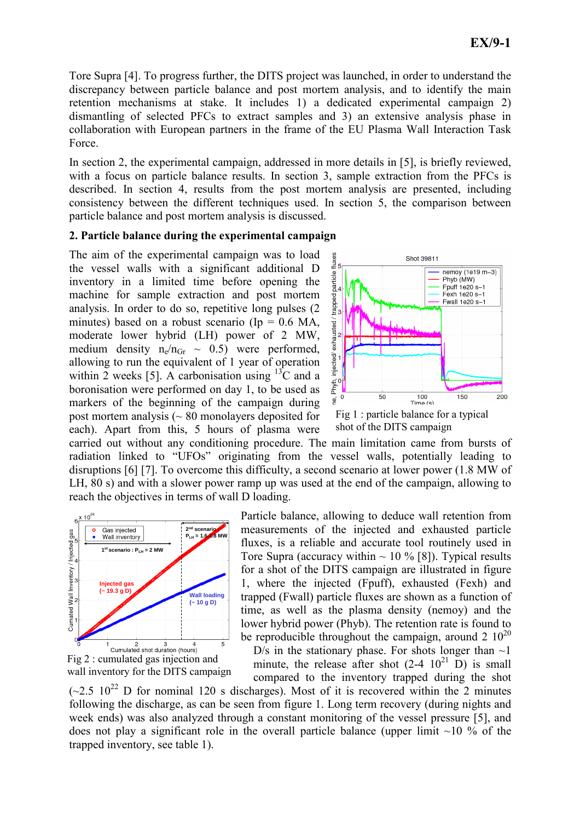Tore Supra [4]. To progress further, the DITS project was launched, in order to understand the discrepancy between particle balance and post mortem analysis, and to identify the main retention mechanisms at stake. It includes 1) a dedicated experimental campaign 2) dismantling of selected PFCs to extract samples and 3) an extensive analysis phase in collaboration with European partners in the frame of the EU Plasma Wall Interaction Task Force.

In section 2, the experimental campaign, addressed in more details in [5], is briefly reviewed, with a focus on particle balance results. In section 3, sample extraction from the PFCs is described. In section 4, results from the post mortem analysis are presented, including consistency between the different techniques used. In section 5, the comparison between particle balance and post mortem analysis is discussed.

# 2. Particle balance during the experimental campaign

The aim of the experimental campaign was to load the vessel walls with a significant additional D inventory in a limited time before opening the machine for sample extraction and post mortem analysis. In order to do so, repetitive long pulses (2 minutes) based on a robust scenario (Ip  $= 0.6$  MA, moderate lower hybrid (LH) power of 2 MW, medium density  $n_e/n_{Gr} \sim 0.5$ ) were performed, allowing to run the equivalent of 1 year of operation within 2 weeks [5]. A carbonisation using  ${}^{13}C$  and a boronisation were performed on day 1, to be used as markers of the beginning of the campaign during post mortem analysis  $($   $\sim$  80 monolayers deposited for each). Apart from this, 5 hours of plasma were



shot of the DITS campaign

carried out without any conditioning procedure. The main limitation came from bursts of radiation linked to "UFOs" originating from the vessel walls, potentially leading to disruptions [6] [7]. To overcome this difficulty, a second scenario at lower power (1.8 MW of LH, 80 s) and with a slower power ramp up was used at the end of the campaign, allowing to reach the objectives in terms of wall D loading.





Particle balance, allowing to deduce wall retention from measurements of the injected and exhausted particle fluxes, is a reliable and accurate tool routinely used in Tore Supra (accuracy within  $\sim$  10 % [8]). Typical results for a shot of the DITS campaign are illustrated in figure 1, where the injected (Fpuff), exhausted (Fexh) and trapped (Fwall) particle fluxes are shown as a function of time, as well as the plasma density (nemoy) and the lower hybrid power (Phyb). The retention rate is found to be reproducible throughout the campaign, around 2  $10^{20}$ 

D/s in the stationary phase. For shots longer than  $\sim$ 1 minute, the release after shot  $(2-4 \t10^{21} \text{ D})$  is small compared to the inventory trapped during the shot

 $(-2.5 \times 10^{22} \text{ D})$  for nominal 120 s discharges). Most of it is recovered within the 2 minutes following the discharge, as can be seen from figure 1. Long term recovery (during nights and week ends) was also analyzed through a constant monitoring of the vessel pressure [5], and does not play a significant role in the overall particle balance (upper limit  $\sim$ 10 % of the trapped inventory, see table 1).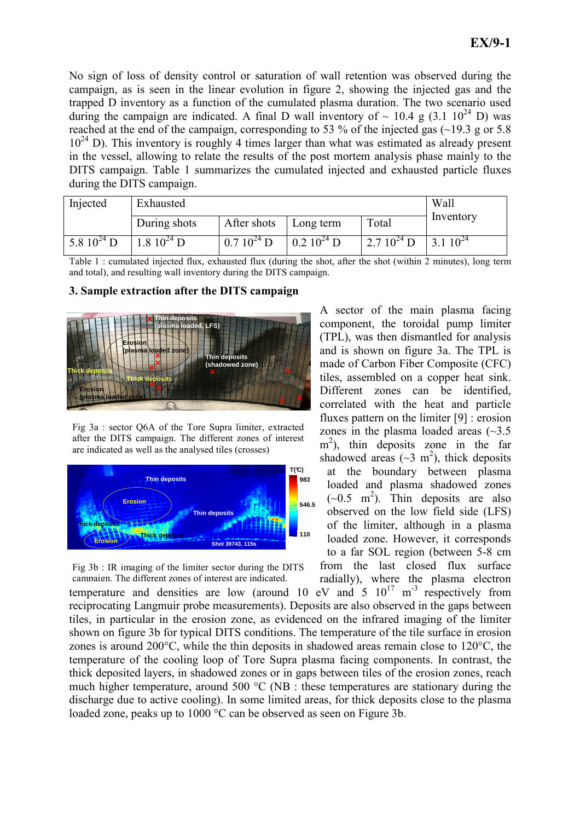No sign of loss of density control or saturation of wall retention was observed during the campaign, as is seen in the linear evolution in figure 2, showing the injected gas and the trapped D inventory as a function of the cumulated plasma duration. The two scenario used during the campaign are indicated. A final D wall inventory of  $\sim 10.4$  g (3.1 10<sup>24</sup> D) was reached at the end of the campaign, corresponding to 53 % of the injected gas  $(\sim 19.3 \text{ g or } 5.8 \text{ m})$  $10^{24}$  D). This inventory is roughly 4 times larger than what was estimated as already present in the vessel, allowing to relate the results of the post mortem analysis phase mainly to the DITS campaign. Table 1 summarizes the cumulated injected and exhausted particle fluxes during the DITS campaign.

| Injected        | Exhausted                      | Wall            |                 |                 |               |
|-----------------|--------------------------------|-----------------|-----------------|-----------------|---------------|
|                 | During shots                   | After shots     | Long term       | Total           | Inventory     |
| 5.8 $10^{24}$ D | $1.8 \; 10^{24} \; \mathrm{D}$ | $0.7 10^{24}$ D | $0.2 10^{24}$ D | 2.7 $10^{24}$ D | $13.110^{24}$ |

Table 1 : cumulated injected flux, exhausted flux (during the shot, after the shot (within 2 minutes), long term and total), and resulting wall inventory during the DITS campaign.

#### 3. Sample extraction after the DITS campaign



Fig 3a : sector Q6A of the Tore Supra limiter, extracted after the DITS campaign. The different zones of interest are indicated as well as the analysed tiles (crosses)



Fig 3b : IR imaging of the limiter sector during the DITS campaign. The different zones of interest are indicated.

A sector of the main plasma facing component, the toroidal pump limiter (TPL), was then dismantled for analysis and is shown on figure 3a. The TPL is made of Carbon Fiber Composite (CFC) tiles, assembled on a copper heat sink. Different zones can be identified, correlated with the heat and particle fluxes pattern on the limiter [9] : erosion zones in the plasma loaded areas  $(\sim 3.5)$ m 2 ), thin deposits zone in the far shadowed areas ( $\sim$ 3 m<sup>2</sup>), thick deposits at the boundary between plasma loaded and plasma shadowed zones  $(-0.5 \text{ m}^2)$ . Thin deposits are also observed on the low field side (LFS) of the limiter, although in a plasma loaded zone. However, it corresponds to a far SOL region (between 5-8 cm from the last closed flux surface

radially), where the plasma electron temperature and densities are low (around 10 eV and  $5 \times 10^{17}$  m<sup>-3</sup> respectively from reciprocating Langmuir probe measurements). Deposits are also observed in the gaps between tiles, in particular in the erosion zone, as evidenced on the infrared imaging of the limiter shown on figure 3b for typical DITS conditions. The temperature of the tile surface in erosion zones is around 200°C, while the thin deposits in shadowed areas remain close to 120°C, the temperature of the cooling loop of Tore Supra plasma facing components. In contrast, the thick deposited layers, in shadowed zones or in gaps between tiles of the erosion zones, reach much higher temperature, around 500 °C (NB : these temperatures are stationary during the discharge due to active cooling). In some limited areas, for thick deposits close to the plasma loaded zone, peaks up to 1000 °C can be observed as seen on Figure 3b.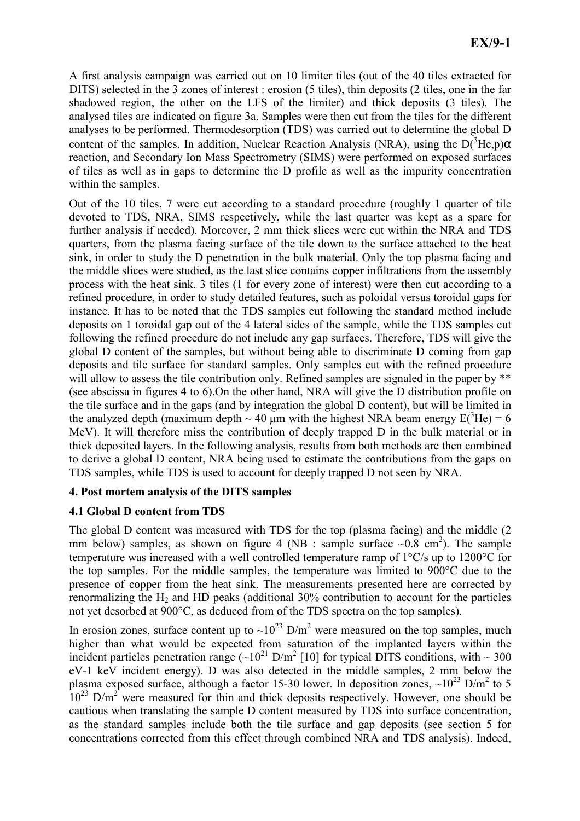A first analysis campaign was carried out on 10 limiter tiles (out of the 40 tiles extracted for DITS) selected in the 3 zones of interest : erosion (5 tiles), thin deposits (2 tiles, one in the far shadowed region, the other on the LFS of the limiter) and thick deposits (3 tiles). The analysed tiles are indicated on figure 3a. Samples were then cut from the tiles for the different analyses to be performed. Thermodesorption (TDS) was carried out to determine the global D content of the samples. In addition, Nuclear Reaction Analysis (NRA), using the  $D(^{3}He,p)\alpha$ reaction, and Secondary Ion Mass Spectrometry (SIMS) were performed on exposed surfaces of tiles as well as in gaps to determine the D profile as well as the impurity concentration within the samples.

Out of the 10 tiles, 7 were cut according to a standard procedure (roughly 1 quarter of tile devoted to TDS, NRA, SIMS respectively, while the last quarter was kept as a spare for further analysis if needed). Moreover, 2 mm thick slices were cut within the NRA and TDS quarters, from the plasma facing surface of the tile down to the surface attached to the heat sink, in order to study the D penetration in the bulk material. Only the top plasma facing and the middle slices were studied, as the last slice contains copper infiltrations from the assembly process with the heat sink. 3 tiles (1 for every zone of interest) were then cut according to a refined procedure, in order to study detailed features, such as poloidal versus toroidal gaps for instance. It has to be noted that the TDS samples cut following the standard method include deposits on 1 toroidal gap out of the 4 lateral sides of the sample, while the TDS samples cut following the refined procedure do not include any gap surfaces. Therefore, TDS will give the global D content of the samples, but without being able to discriminate D coming from gap deposits and tile surface for standard samples. Only samples cut with the refined procedure will allow to assess the tile contribution only. Refined samples are signaled in the paper by \*\* (see abscissa in figures 4 to 6).On the other hand, NRA will give the D distribution profile on the tile surface and in the gaps (and by integration the global D content), but will be limited in the analyzed depth (maximum depth  $\sim 40$  µm with the highest NRA beam energy  $E^{3}$ He) = 6 MeV). It will therefore miss the contribution of deeply trapped D in the bulk material or in thick deposited layers. In the following analysis, results from both methods are then combined to derive a global D content, NRA being used to estimate the contributions from the gaps on TDS samples, while TDS is used to account for deeply trapped D not seen by NRA.

# 4. Post mortem analysis of the DITS samples

# 4.1 Global D content from TDS

The global D content was measured with TDS for the top (plasma facing) and the middle (2 mm below) samples, as shown on figure 4 (NB : sample surface  $\sim 0.8$  cm<sup>2</sup>). The sample temperature was increased with a well controlled temperature ramp of 1°C/s up to 1200°C for the top samples. For the middle samples, the temperature was limited to 900°C due to the presence of copper from the heat sink. The measurements presented here are corrected by renormalizing the  $H_2$  and HD peaks (additional 30% contribution to account for the particles not yet desorbed at 900°C, as deduced from of the TDS spectra on the top samples).

In erosion zones, surface content up to  $\sim 10^{23}$  D/m<sup>2</sup> were measured on the top samples, much higher than what would be expected from saturation of the implanted layers within the incident particles penetration range  $({\sim}10^{21} \text{ D/m}^2$  [10] for typical DITS conditions, with  $\sim 300$ eV-1 keV incident energy). D was also detected in the middle samples, 2 mm below the plasma exposed surface, although a factor 15-30 lower. In deposition zones,  $\sim 10^{23}$  D/m<sup>2</sup> to 5  $10^{23}$  D/m<sup>2</sup> were measured for thin and thick deposits respectively. However, one should be cautious when translating the sample D content measured by TDS into surface concentration, as the standard samples include both the tile surface and gap deposits (see section 5 for concentrations corrected from this effect through combined NRA and TDS analysis). Indeed,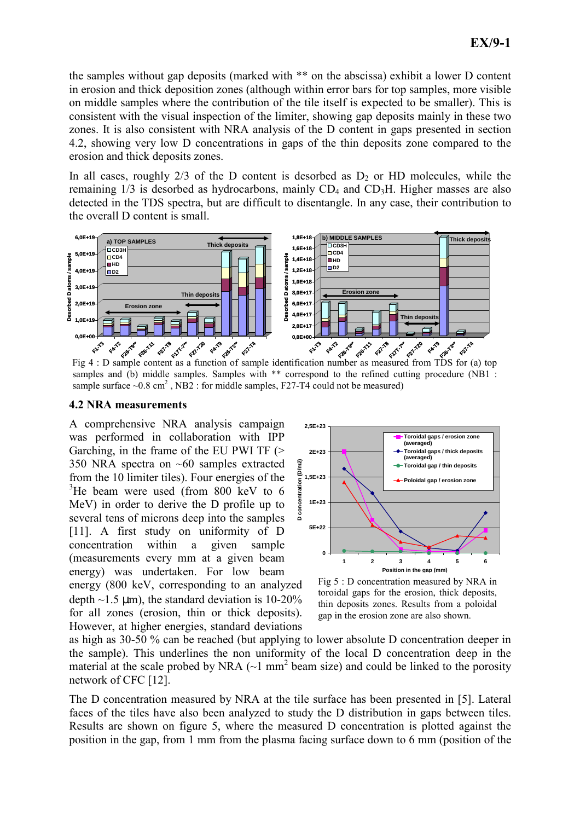the samples without gap deposits (marked with \*\* on the abscissa) exhibit a lower D content in erosion and thick deposition zones (although within error bars for top samples, more visible on middle samples where the contribution of the tile itself is expected to be smaller). This is consistent with the visual inspection of the limiter, showing gap deposits mainly in these two zones. It is also consistent with NRA analysis of the D content in gaps presented in section 4.2, showing very low D concentrations in gaps of the thin deposits zone compared to the erosion and thick deposits zones.

In all cases, roughly  $2/3$  of the D content is desorbed as  $D<sub>2</sub>$  or HD molecules, while the remaining  $1/3$  is desorbed as hydrocarbons, mainly  $CD_4$  and  $CD_3H$ . Higher masses are also detected in the TDS spectra, but are difficult to disentangle. In any case, their contribution to the overall D content is small.



Fig 4 : D sample content as a function of sample identification number as measured from TDS for (a) top samples and (b) middle samples. Samples with \*\* correspond to the refined cutting procedure (NB1 : sample surface  $\sim 0.8$  cm<sup>2</sup>, NB2 : for middle samples, F27-T4 could not be measured)

### 4.2 NRA measurements

A comprehensive NRA analysis campaign was performed in collaboration with IPP Garching, in the frame of the EU PWI TF (> 350 NRA spectra on ~60 samples extracted from the 10 limiter tiles). Four energies of the  $3$ He beam were used (from 800 keV to 6 MeV) in order to derive the D profile up to several tens of microns deep into the samples [11]. A first study on uniformity of D concentration within a given sample (measurements every mm at a given beam energy) was undertaken. For low beam energy (800 keV, corresponding to an analyzed depth  $\sim$ 1.5 µm), the standard deviation is 10-20% for all zones (erosion, thin or thick deposits). However, at higher energies, standard deviations



Fig 5 : D concentration measured by NRA in toroidal gaps for the erosion, thick deposits, thin deposits zones. Results from a poloidal gap in the erosion zone are also shown.

as high as 30-50 % can be reached (but applying to lower absolute D concentration deeper in the sample). This underlines the non uniformity of the local D concentration deep in the material at the scale probed by NRA  $(\sim 1 \text{ mm}^2$  beam size) and could be linked to the porosity network of CFC [12].

The D concentration measured by NRA at the tile surface has been presented in [5]. Lateral faces of the tiles have also been analyzed to study the D distribution in gaps between tiles. Results are shown on figure 5, where the measured D concentration is plotted against the position in the gap, from 1 mm from the plasma facing surface down to 6 mm (position of the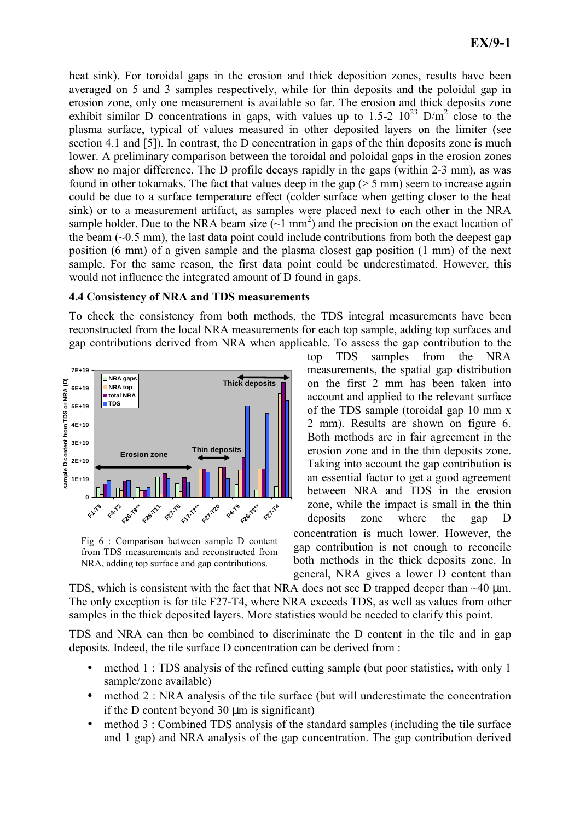heat sink). For toroidal gaps in the erosion and thick deposition zones, results have been averaged on 5 and 3 samples respectively, while for thin deposits and the poloidal gap in erosion zone, only one measurement is available so far. The erosion and thick deposits zone exhibit similar D concentrations in gaps, with values up to  $1.5-2$   $10^{23}$  D/m<sup>2</sup> close to the plasma surface, typical of values measured in other deposited layers on the limiter (see section 4.1 and [5]). In contrast, the D concentration in gaps of the thin deposits zone is much lower. A preliminary comparison between the toroidal and poloidal gaps in the erosion zones show no major difference. The D profile decays rapidly in the gaps (within 2-3 mm), as was found in other tokamaks. The fact that values deep in the gap  $(5 \text{ mm})$  seem to increase again could be due to a surface temperature effect (colder surface when getting closer to the heat sink) or to a measurement artifact, as samples were placed next to each other in the NRA sample holder. Due to the NRA beam size  $(-1 \text{ mm}^2)$  and the precision on the exact location of the beam  $(\sim 0.5 \text{ mm})$ , the last data point could include contributions from both the deepest gap position (6 mm) of a given sample and the plasma closest gap position (1 mm) of the next sample. For the same reason, the first data point could be underestimated. However, this would not influence the integrated amount of D found in gaps.

## 4.4 Consistency of NRA and TDS measurements

To check the consistency from both methods, the TDS integral measurements have been reconstructed from the local NRA measurements for each top sample, adding top surfaces and gap contributions derived from NRA when applicable. To assess the gap contribution to the



Fig 6 : Comparison between sample D content from TDS measurements and reconstructed from NRA, adding top surface and gap contributions.

top TDS samples from the NRA measurements, the spatial gap distribution on the first 2 mm has been taken into account and applied to the relevant surface of the TDS sample (toroidal gap 10 mm x 2 mm). Results are shown on figure 6. Both methods are in fair agreement in the erosion zone and in the thin deposits zone. Taking into account the gap contribution is an essential factor to get a good agreement between NRA and TDS in the erosion zone, while the impact is small in the thin deposits zone where the gap D concentration is much lower. However, the

gap contribution is not enough to reconcile both methods in the thick deposits zone. In general, NRA gives a lower D content than

TDS, which is consistent with the fact that NRA does not see D trapped deeper than  $~40$  um. The only exception is for tile F27-T4, where NRA exceeds TDS, as well as values from other samples in the thick deposited layers. More statistics would be needed to clarify this point.

TDS and NRA can then be combined to discriminate the D content in the tile and in gap deposits. Indeed, the tile surface D concentration can be derived from :

- method 1 : TDS analysis of the refined cutting sample (but poor statistics, with only 1 sample/zone available)
- method 2 : NRA analysis of the tile surface (but will underestimate the concentration if the D content beyond  $30 \text{ µm}$  is significant)
- method 3 : Combined TDS analysis of the standard samples (including the tile surface and 1 gap) and NRA analysis of the gap concentration. The gap contribution derived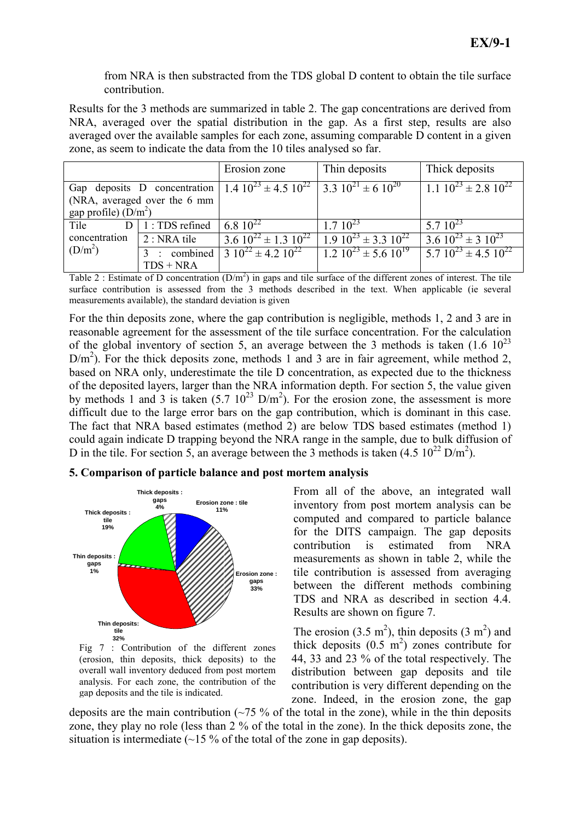from NRA is then substracted from the TDS global D content to obtain the tile surface contribution.

Results for the 3 methods are summarized in table 2. The gap concentrations are derived from NRA, averaged over the spatial distribution in the gap. As a first step, results are also averaged over the available samples for each zone, assuming comparable D content in a given zone, as seem to indicate the data from the 10 tiles analysed so far.

|                                                                                            |                              | Erosion zone                                                                          | Thin deposits               | Thick deposits                              |
|--------------------------------------------------------------------------------------------|------------------------------|---------------------------------------------------------------------------------------|-----------------------------|---------------------------------------------|
| Gap deposits D concentration   1.4 $10^{23} \pm 4.5 10^{22}$   3.3 $10^{21} \pm 6 10^{20}$ |                              |                                                                                       |                             | $1.1 \ 10^{23} \pm 2.8 \ 10^{22}$           |
|                                                                                            | (NRA, averaged over the 6 mm |                                                                                       |                             |                                             |
| gap profile) $(D/m^2)$                                                                     |                              |                                                                                       |                             |                                             |
| Tile<br>concentration<br>(D/m <sup>2</sup> )                                               | $D \mid 1$ : TDS refined     | 6.8 $10^{22}$                                                                         | $1.7 10^{23}$               | 5.7 $10^{23}$                               |
|                                                                                            | $2: NRA$ tile                | $\frac{3.6}{10^{22} \pm 1.3}$ $\frac{10^{22}}{1.9}$ $\frac{10^{23} \pm 3.3}{10^{22}}$ |                             | $3.6 10^{23} \pm 3 10^{23}$                 |
|                                                                                            |                              | : combined $3 \overline{10^{22} \pm 4.2 \overline{10^{22}}}$                          | $1.210^{23} \pm 5.610^{19}$ | $\frac{1}{2}$ 5.7 $10^{23}$ ± 4.5 $10^{22}$ |
|                                                                                            | $TDS + NRA$                  |                                                                                       |                             |                                             |

Table 2 : Estimate of D concentration  $(D/m^2)$  in gaps and tile surface of the different zones of interest. The tile surface contribution is assessed from the 3 methods described in the text. When applicable (ie several measurements available), the standard deviation is given

For the thin deposits zone, where the gap contribution is negligible, methods 1, 2 and 3 are in reasonable agreement for the assessment of the tile surface concentration. For the calculation of the global inventory of section 5, an average between the 3 methods is taken  $(1.6 \t10^{23})$  $D/m<sup>2</sup>$ ). For the thick deposits zone, methods 1 and 3 are in fair agreement, while method 2, based on NRA only, underestimate the tile D concentration, as expected due to the thickness of the deposited layers, larger than the NRA information depth. For section 5, the value given by methods 1 and 3 is taken  $(5.7 \ 10^{23} \ D/m^2)$ . For the erosion zone, the assessment is more difficult due to the large error bars on the gap contribution, which is dominant in this case. The fact that NRA based estimates (method 2) are below TDS based estimates (method 1) could again indicate D trapping beyond the NRA range in the sample, due to bulk diffusion of D in the tile. For section 5, an average between the 3 methods is taken  $(4.5 \times 10^{22} \text{ D/m}^2)$ .

## 5. Comparison of particle balance and post mortem analysis



Fig 7 : Contribution of the different zones (erosion, thin deposits, thick deposits) to the overall wall inventory deduced from post mortem analysis. For each zone, the contribution of the gap deposits and the tile is indicated.

From all of the above, an integrated wall inventory from post mortem analysis can be computed and compared to particle balance for the DITS campaign. The gap deposits contribution is estimated from NRA measurements as shown in table 2, while the tile contribution is assessed from averaging between the different methods combining TDS and NRA as described in section 4.4. Results are shown on figure 7.

The erosion (3.5 m<sup>2</sup>), thin deposits (3 m<sup>2</sup>) and thick deposits  $(0.5 \text{ m}^2)$  zones contribute for 44, 33 and 23 % of the total respectively. The distribution between gap deposits and tile contribution is very different depending on the zone. Indeed, in the erosion zone, the gap

deposits are the main contribution  $\left(\frac{-75}{6}\right)$  of the total in the zone), while in the thin deposits zone, they play no role (less than 2 % of the total in the zone). In the thick deposits zone, the situation is intermediate  $(\sim 15\%$  of the total of the zone in gap deposits).